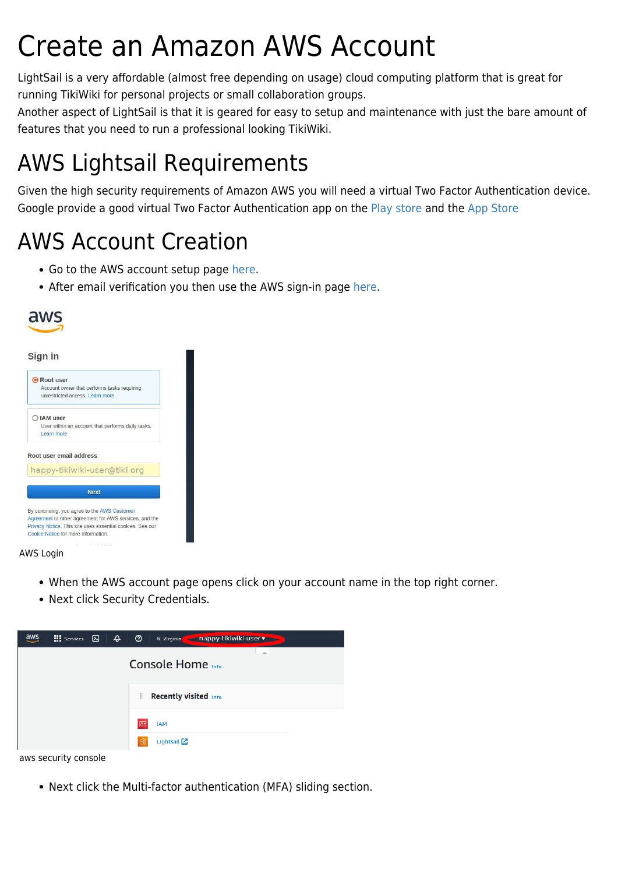# Create an Amazon AWS Account

LightSail is a very affordable (almost free depending on usage) cloud computing platform that is great for running TikiWiki for personal projects or small collaboration groups.

Another aspect of LightSail is that it is geared for easy to setup and maintenance with just the bare amount of features that you need to run a professional looking TikiWiki.

## AWS Lightsail Requirements

Given the high security requirements of Amazon AWS you will need a virtual Two Factor Authentication device. Google provide a good virtual Two Factor Authentication app on the [Play store](https://play.google.com/store/apps/details?id=com.google.android.apps.authenticator2&hl=en_IE&gl=US) and the [App Store](https://apps.apple.com/us/app/google-authenticator/id388497605)

### AWS Account Creation

- Go to the AWS account setup page [here](https://portal.aws.amazon.com/billing/signup#/start/email).
- After email verification you then use the AWS sign-in page [here](https://console.aws.amazon.com/console/home?nc2=h_ct&src=header-signin).



| Root user   |                                                                                                                     |
|-------------|---------------------------------------------------------------------------------------------------------------------|
|             | Account owner that performs tasks requiring                                                                         |
|             | unrestricted access. I earn more                                                                                    |
| O IAM user  |                                                                                                                     |
|             | User within an account that performs daily tasks.                                                                   |
| I earn more |                                                                                                                     |
|             |                                                                                                                     |
|             | Root user email address                                                                                             |
|             | happy-tikiwiki-user@tiki.org                                                                                        |
|             | <b>Next</b>                                                                                                         |
|             |                                                                                                                     |
|             | By continuing, you agree to the AWS Customer                                                                        |
|             | Agreement or other agreement for AWS services, and the<br>Privacy Notice. This site uses essential cookies. See our |

#### AWS Login

- When the AWS account page opens click on your account name in the top right corner.
- Next click Security Credentials.



Next click the Multi-factor authentication (MFA) sliding section.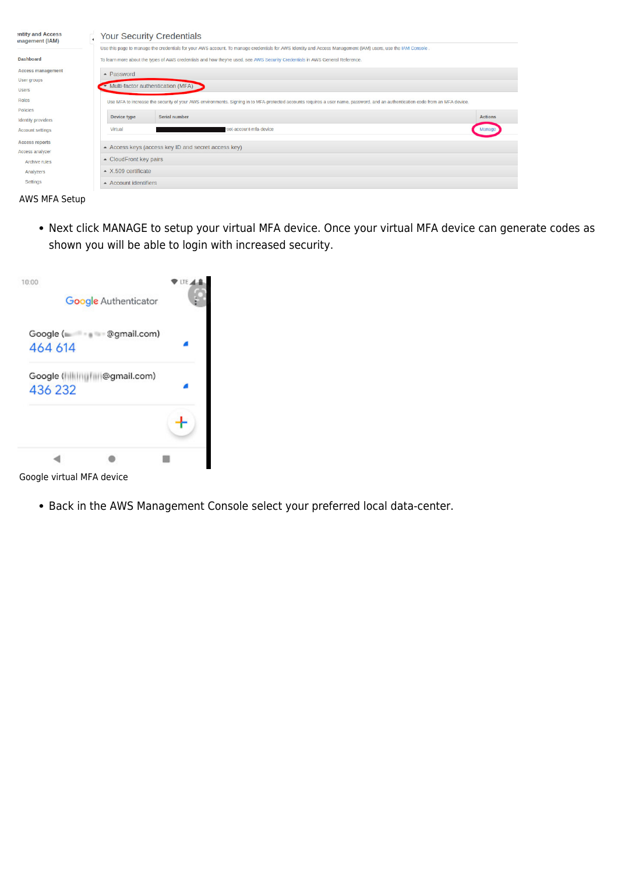| entity and Access<br>inagement (IAM) |                                                                                                                                                                                | <b>Your Security Credentials</b> |                |  |
|--------------------------------------|--------------------------------------------------------------------------------------------------------------------------------------------------------------------------------|----------------------------------|----------------|--|
|                                      | Use this page to manage the credentials for your AWS account. To manage credentials for AWS Identity and Access Management (IAM) users, use the IAM Console.                   |                                  |                |  |
| <b>Dashboard</b>                     | To learn more about the types of AWS credentials and how they're used, see AWS Security Credentials in AWS General Reference.                                                  |                                  |                |  |
| <b>Access management</b>             | $\triangle$ Password                                                                                                                                                           |                                  |                |  |
| User groups                          |                                                                                                                                                                                |                                  |                |  |
| <b>Users</b>                         | Multi-factor authentication (MFA)                                                                                                                                              |                                  |                |  |
| Roles                                | Use MFA to increase the security of your AWS environments. Signing in to MFA-protected accounts requires a user name, password, and an authentication code from an MFA device. |                                  |                |  |
| Policies                             |                                                                                                                                                                                |                                  |                |  |
| <b>Identity providers</b>            | Device type                                                                                                                                                                    | Serial number                    | <b>Actions</b> |  |
| <b>Account settings</b>              | Virtual                                                                                                                                                                        | toot-account-mfa-device          | Manag          |  |
| <b>Access reports</b>                |                                                                                                                                                                                |                                  |                |  |
| Access analyzer                      | - Access keys (access key ID and secret access key)                                                                                                                            |                                  |                |  |
| Archive rules                        | - CloudFront key pairs                                                                                                                                                         |                                  |                |  |
| Analyzers                            | $\sim$ X.509 certificate                                                                                                                                                       |                                  |                |  |
| Settings                             | $\triangle$ Account identifiers                                                                                                                                                |                                  |                |  |



Next click MANAGE to setup your virtual MFA device. Once your virtual MFA device can generate codes as shown you will be able to login with increased security.

| 10:00                |                                  | Google Authenticator | LTE. |
|----------------------|----------------------------------|----------------------|------|
| Google (=<br>464 614 |                                  | @gmail.com)          |      |
| 436 232              | Google (hililingfilil@gmail.com) |                      |      |
|                      |                                  |                      |      |
|                      |                                  |                      |      |

Google virtual MFA device

Back in the AWS Management Console select your preferred local data-center.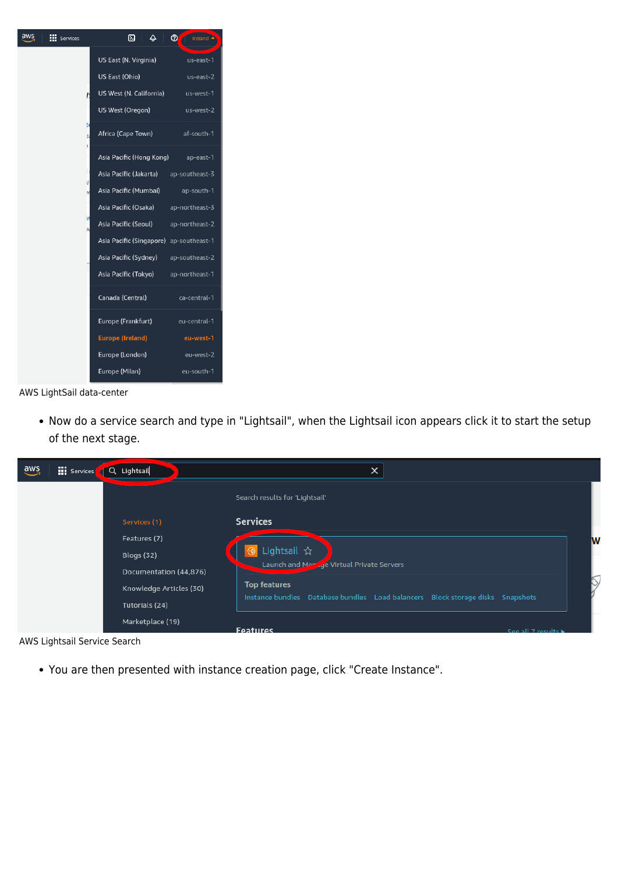| aws<br><b>EEE</b> Services | ⊠<br>$\Delta$                           | $^{\circ}$<br>Ireland |
|----------------------------|-----------------------------------------|-----------------------|
|                            | US East (N. Virginia)                   | us-east-1             |
|                            | US East (Ohio)                          | $us$ -east-2          |
|                            | US West (N. California)                 | us-west-1             |
|                            | US West (Oregon)                        | us-west-2             |
| b<br>ł.                    | Africa (Cape Town)                      | af-south-1            |
|                            | Asia Pacific (Hong Kong) ap-east-1      |                       |
|                            | Asia Pacific (Jakarta) ap-southeast-3   |                       |
|                            | Asia Pacific (Mumbai) ap-south-1        |                       |
|                            | Asia Pacific (Osaka)                    | ap-northeast-3        |
|                            | Asia Pacific (Seoul) ap-northeast-2     |                       |
|                            | Asia Pacific (Singapore) ap-southeast-1 |                       |
|                            | Asia Pacific (Sydney)                   | ap-southeast-2        |
|                            | Asia Pacific (Tokyo)                    | ap-northeast-1        |
|                            | Canada (Central)                        | ca-central-1          |
|                            | Europe (Frankfurt)                      | eu-central-1          |
|                            | <b>Europe (Ireland)</b>                 | eu-west-1             |
|                            | Europe (London)                         | eu-west-2             |
|                            | Europe (Milan)                          | eu-south-1            |

#### AWS LightSail data-center

Now do a service search and type in "Lightsail", when the Lightsail icon appears click it to start the setup of the next stage.

| $\frac{aws}{2}$ | <b>III</b> Services | Q Lightsail             | $\times$                                                                       |   |
|-----------------|---------------------|-------------------------|--------------------------------------------------------------------------------|---|
|                 |                     |                         | Search results for 'Lightsail'                                                 |   |
|                 |                     | Services (1)            | <b>Services</b>                                                                |   |
|                 |                     | Features (7)            |                                                                                | W |
|                 |                     | <b>Blogs (32)</b>       | <b>③</b> Lightsail ☆                                                           |   |
|                 |                     | Documentation (44,876)  | Launch and Maringe Virtual Private Servers                                     |   |
|                 |                     | Knowledge Articles (30) | <b>Top features</b>                                                            |   |
|                 |                     | Tutorials (24)          | Instance bundles Database bundles Load balancers Block storage disks Snapshots |   |
|                 |                     | Marketplace (19)        | <b>Features</b><br>See all 7 results                                           |   |

AWS Lightsail Service Search

You are then presented with instance creation page, click "Create Instance".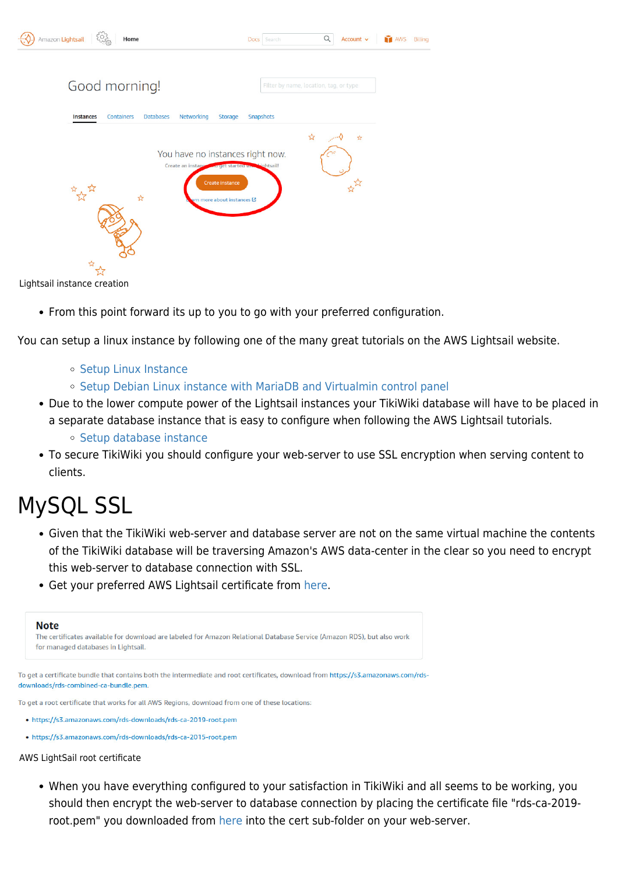| Amazon Lightsail                  | Home                           |                                                                                                           | Docs Search                      | $\alpha$                               | Account $\sim$ | <b>AWS</b><br>Billing |
|-----------------------------------|--------------------------------|-----------------------------------------------------------------------------------------------------------|----------------------------------|----------------------------------------|----------------|-----------------------|
|                                   | Good morning!                  |                                                                                                           |                                  | Filter by name, location, tag, or type |                |                       |
| Instances                         | <b>Databases</b><br>Containers | Networking<br>Storage                                                                                     | Snapshots                        |                                        |                |                       |
| 故故<br>Lightenil inctance croation | ☆                              | Create an instance we get started with inhtsail!<br><b>Create instance</b><br>ern more about instances L' | You have no instances right now. | ਮੈਂ                                    | ☆              |                       |

Lightsail instance creation

• From this point forward its up to you to go with your preferred configuration.

You can setup a linux instance by following one of the many great tutorials on the AWS Lightsail website.

- o [Setup Linux Instance](https://lightsail.aws.amazon.com/ls/docs/en_us/articles/getting-started-with-amazon-lightsail)
- [Setup Debian Linux instance with MariaDB and Virtualmin control panel](https://bernardsfez.com/article58-Set-an-server-or-an-instance-with-Debian-Virtualmin-webmin-and-Tiki-Wiki-from-git)
- Due to the lower compute power of the Lightsail instances your TikiWiki database will have to be placed in a separate database instance that is easy to configure when following the AWS Lightsail tutorials.
	- o [Setup database instance](https://lightsail.aws.amazon.com/ls/docs/en_us/articles/amazon-lightsail-creating-a-database)
- To secure TikiWiki you should configure your web-server to use SSL encryption when serving content to clients.

## MySQL SSL

- Given that the TikiWiki web-server and database server are not on the same virtual machine the contents of the TikiWiki database will be traversing Amazon's AWS data-center in the clear so you need to encrypt this web-server to database connection with SSL.
- Get your preferred AWS Lightsail certificate from [here.](https://lightsail.aws.amazon.com/ls/docs/en_us/articles/amazon-lightsail-download-ssl-certificate-for-managed-database)

| <b>Note</b> |                                                                                                                                                                             |
|-------------|-----------------------------------------------------------------------------------------------------------------------------------------------------------------------------|
|             | The certificates available for download are labeled for Amazon Relational Database Service (Amazon RDS), but also work<br>for managed databases in Lightsail.               |
|             |                                                                                                                                                                             |
|             | To get a certificate bundle that contains both the intermediate and root certificates, download from https://s3.amazonaws.com/rds-<br>downloads/rds-combined-ca-bundle.pem. |
|             | To get a root certificate that works for all AWS Regions, download from one of these locations:                                                                             |
|             | . https://s3.amazonaws.com/rds-downloads/rds-ca-2019-root.pem                                                                                                               |

• https://s3.amazonaws.com/rds-downloads/rds-ca-2015-root.pem

AWS LightSail root certificate

When you have everything configured to your satisfaction in TikiWiki and all seems to be working, you should then encrypt the web-server to database connection by placing the certificate file "rds-ca-2019 root.pem" you downloaded from [here](https://lightsail.aws.amazon.com/ls/docs/en_us/articles/amazon-lightsail-download-ssl-certificate-for-managed-database) into the cert sub-folder on your web-server.